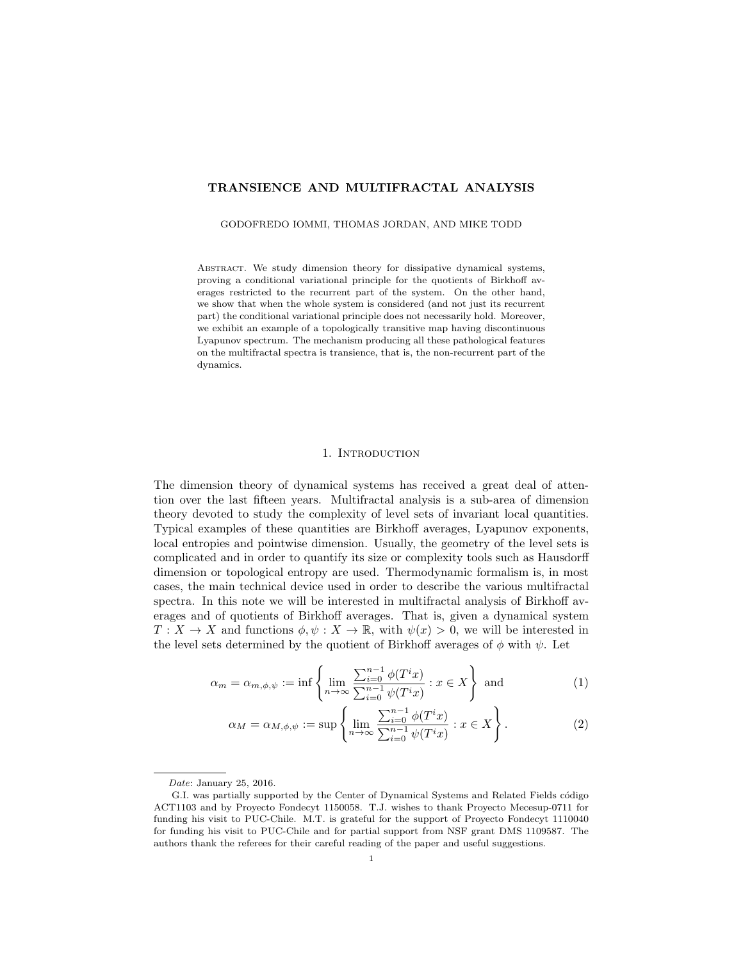# TRANSIENCE AND MULTIFRACTAL ANALYSIS

GODOFREDO IOMMI, THOMAS JORDAN, AND MIKE TODD

Abstract. We study dimension theory for dissipative dynamical systems, proving a conditional variational principle for the quotients of Birkhoff averages restricted to the recurrent part of the system. On the other hand, we show that when the whole system is considered (and not just its recurrent part) the conditional variational principle does not necessarily hold. Moreover, we exhibit an example of a topologically transitive map having discontinuous Lyapunov spectrum. The mechanism producing all these pathological features on the multifractal spectra is transience, that is, the non-recurrent part of the dynamics.

## 1. INTRODUCTION

The dimension theory of dynamical systems has received a great deal of attention over the last fifteen years. Multifractal analysis is a sub-area of dimension theory devoted to study the complexity of level sets of invariant local quantities. Typical examples of these quantities are Birkhoff averages, Lyapunov exponents, local entropies and pointwise dimension. Usually, the geometry of the level sets is complicated and in order to quantify its size or complexity tools such as Hausdorff dimension or topological entropy are used. Thermodynamic formalism is, in most cases, the main technical device used in order to describe the various multifractal spectra. In this note we will be interested in multifractal analysis of Birkhoff averages and of quotients of Birkhoff averages. That is, given a dynamical system  $T: X \to X$  and functions  $\phi, \psi: X \to \mathbb{R}$ , with  $\psi(x) > 0$ , we will be interested in the level sets determined by the quotient of Birkhoff averages of  $\phi$  with  $\psi$ . Let

$$
\alpha_m = \alpha_{m,\phi,\psi} := \inf \left\{ \lim_{n \to \infty} \frac{\sum_{i=0}^{n-1} \phi(T^i x)}{\sum_{i=0}^{n-1} \psi(T^i x)} : x \in X \right\} \text{ and } (1)
$$

$$
\alpha_M = \alpha_{M,\phi,\psi} := \sup \left\{ \lim_{n \to \infty} \frac{\sum_{i=0}^{n-1} \phi(T^i x)}{\sum_{i=0}^{n-1} \psi(T^i x)} : x \in X \right\}.
$$
 (2)

Date: January 25, 2016.

G.I. was partially supported by the Center of Dynamical Systems and Related Fields código ACT1103 and by Proyecto Fondecyt 1150058. T.J. wishes to thank Proyecto Mecesup-0711 for funding his visit to PUC-Chile. M.T. is grateful for the support of Proyecto Fondecyt 1110040 for funding his visit to PUC-Chile and for partial support from NSF grant DMS 1109587. The authors thank the referees for their careful reading of the paper and useful suggestions.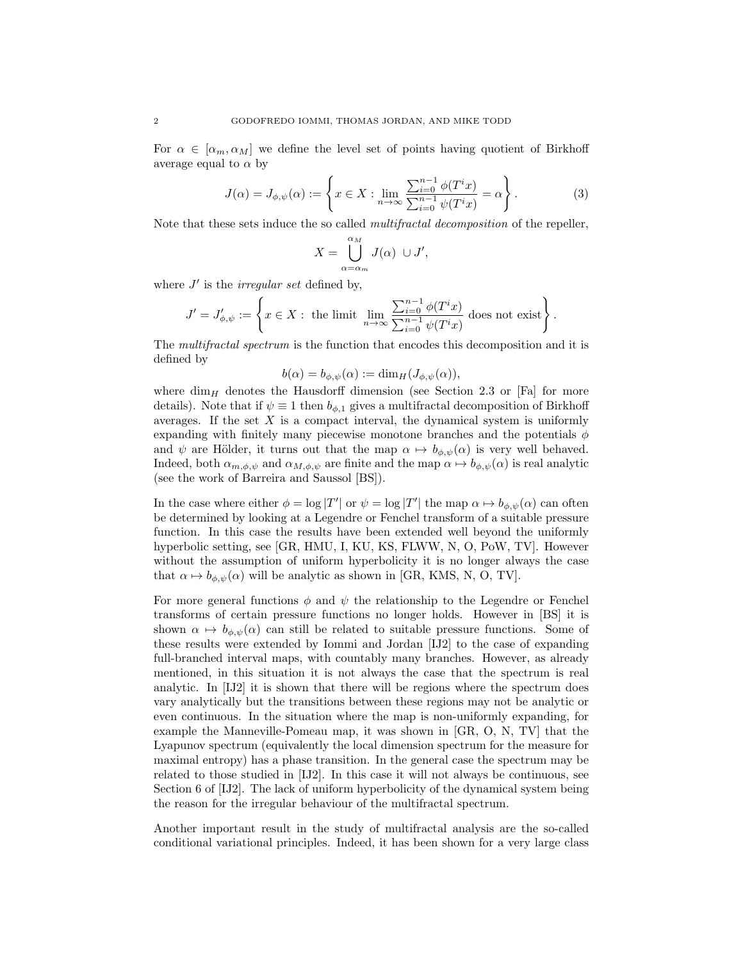For  $\alpha \in [\alpha_m, \alpha_M]$  we define the level set of points having quotient of Birkhoff average equal to  $\alpha$  by

$$
J(\alpha) = J_{\phi,\psi}(\alpha) := \left\{ x \in X : \lim_{n \to \infty} \frac{\sum_{i=0}^{n-1} \phi(T^i x)}{\sum_{i=0}^{n-1} \psi(T^i x)} = \alpha \right\}.
$$
 (3)

Note that these sets induce the so called multifractal decomposition of the repeller,

$$
X = \bigcup_{\alpha = \alpha_m}^{\alpha_M} J(\alpha) \cup J',
$$

where  $J'$  is the *irregular set* defined by,

$$
J'=J'_{\phi,\psi}:=\left\{x\in X: \text{ the limit } \lim_{n\to\infty}\frac{\sum_{i=0}^{n-1}\phi(T^ix)}{\sum_{i=0}^{n-1}\psi(T^ix)} \text{ does not exist}\right\}.
$$

The multifractal spectrum is the function that encodes this decomposition and it is defined by

$$
b(\alpha) = b_{\phi,\psi}(\alpha) := \dim_H(J_{\phi,\psi}(\alpha)),
$$

where dim<sub>H</sub> denotes the Hausdorff dimension (see Section 2.3 or [Fa] for more details). Note that if  $\psi \equiv 1$  then  $b_{\phi,1}$  gives a multifractal decomposition of Birkhoff averages. If the set  $X$  is a compact interval, the dynamical system is uniformly expanding with finitely many piecewise monotone branches and the potentials  $\phi$ and  $\psi$  are Hölder, it turns out that the map  $\alpha \mapsto b_{\phi,\psi}(\alpha)$  is very well behaved. Indeed, both  $\alpha_{m,\phi,\psi}$  and  $\alpha_{M,\phi,\psi}$  are finite and the map  $\alpha \mapsto b_{\phi,\psi}(\alpha)$  is real analytic (see the work of Barreira and Saussol [BS]).

In the case where either  $\phi = \log |T'|$  or  $\psi = \log |T'|$  the map  $\alpha \mapsto b_{\phi,\psi}(\alpha)$  can often be determined by looking at a Legendre or Fenchel transform of a suitable pressure function. In this case the results have been extended well beyond the uniformly hyperbolic setting, see [GR, HMU, I, KU, KS, FLWW, N, O, PoW, TV]. However without the assumption of uniform hyperbolicity it is no longer always the case that  $\alpha \mapsto b_{\phi,\psi}(\alpha)$  will be analytic as shown in [GR, KMS, N, O, TV].

For more general functions  $\phi$  and  $\psi$  the relationship to the Legendre or Fenchel transforms of certain pressure functions no longer holds. However in [BS] it is shown  $\alpha \mapsto b_{\phi,\psi}(\alpha)$  can still be related to suitable pressure functions. Some of these results were extended by Iommi and Jordan [IJ2] to the case of expanding full-branched interval maps, with countably many branches. However, as already mentioned, in this situation it is not always the case that the spectrum is real analytic. In [IJ2] it is shown that there will be regions where the spectrum does vary analytically but the transitions between these regions may not be analytic or even continuous. In the situation where the map is non-uniformly expanding, for example the Manneville-Pomeau map, it was shown in [GR, O, N, TV] that the Lyapunov spectrum (equivalently the local dimension spectrum for the measure for maximal entropy) has a phase transition. In the general case the spectrum may be related to those studied in [IJ2]. In this case it will not always be continuous, see Section 6 of [IJ2]. The lack of uniform hyperbolicity of the dynamical system being the reason for the irregular behaviour of the multifractal spectrum.

Another important result in the study of multifractal analysis are the so-called conditional variational principles. Indeed, it has been shown for a very large class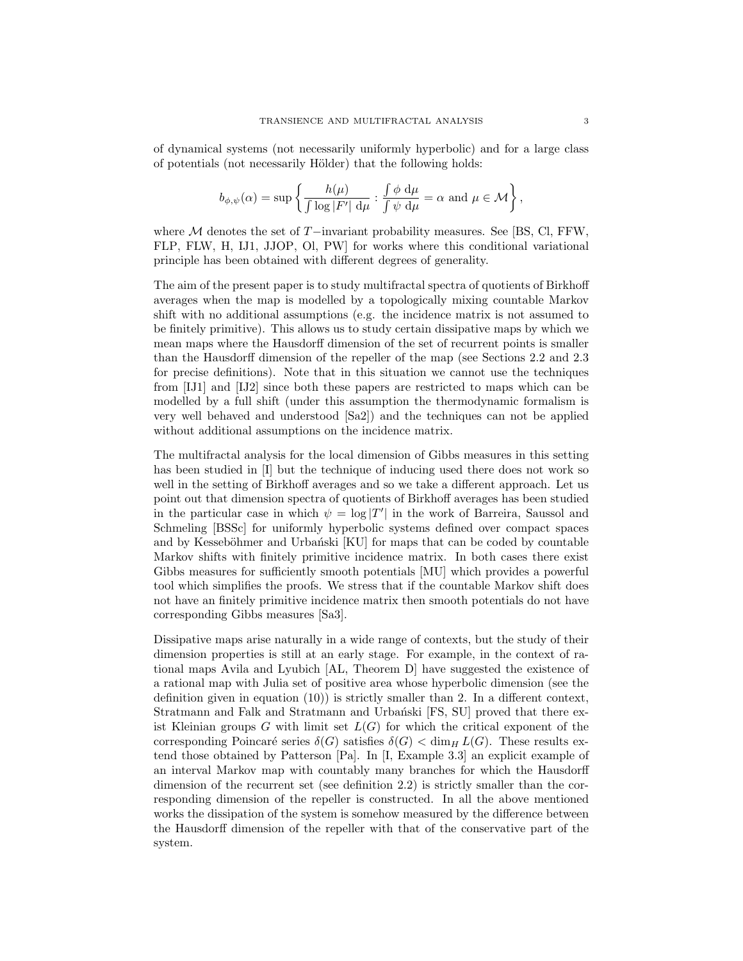of dynamical systems (not necessarily uniformly hyperbolic) and for a large class of potentials (not necessarily Hölder) that the following holds:

$$
b_{\phi,\psi}(\alpha) = \sup \left\{ \frac{h(\mu)}{\int \log |F'| \, \mathop{}\!\mathrm{d} \mu} : \frac{\int \phi \, \mathop{}\!\mathrm{d} \mu}{\int \psi \, \mathop{}\!\mathrm{d} \mu} = \alpha \text{ and } \mu \in \mathcal{M} \right\},\,
$$

where M denotes the set of T−invariant probability measures. See [BS, Cl, FFW, FLP, FLW, H, IJ1, JJOP, Ol, PW] for works where this conditional variational principle has been obtained with different degrees of generality.

The aim of the present paper is to study multifractal spectra of quotients of Birkhoff averages when the map is modelled by a topologically mixing countable Markov shift with no additional assumptions (e.g. the incidence matrix is not assumed to be finitely primitive). This allows us to study certain dissipative maps by which we mean maps where the Hausdorff dimension of the set of recurrent points is smaller than the Hausdorff dimension of the repeller of the map (see Sections 2.2 and 2.3 for precise definitions). Note that in this situation we cannot use the techniques from [IJ1] and [IJ2] since both these papers are restricted to maps which can be modelled by a full shift (under this assumption the thermodynamic formalism is very well behaved and understood [Sa2]) and the techniques can not be applied without additional assumptions on the incidence matrix.

The multifractal analysis for the local dimension of Gibbs measures in this setting has been studied in [I] but the technique of inducing used there does not work so well in the setting of Birkhoff averages and so we take a different approach. Let us point out that dimension spectra of quotients of Birkhoff averages has been studied in the particular case in which  $\psi = \log |T'|$  in the work of Barreira, Saussol and Schmeling [BSSc] for uniformly hyperbolic systems defined over compact spaces and by Kesseböhmer and Urbański [KU] for maps that can be coded by countable Markov shifts with finitely primitive incidence matrix. In both cases there exist Gibbs measures for sufficiently smooth potentials [MU] which provides a powerful tool which simplifies the proofs. We stress that if the countable Markov shift does not have an finitely primitive incidence matrix then smooth potentials do not have corresponding Gibbs measures [Sa3].

Dissipative maps arise naturally in a wide range of contexts, but the study of their dimension properties is still at an early stage. For example, in the context of rational maps Avila and Lyubich [AL, Theorem D] have suggested the existence of a rational map with Julia set of positive area whose hyperbolic dimension (see the definition given in equation  $(10)$ ) is strictly smaller than 2. In a different context, Stratmann and Falk and Stratmann and Urbański [FS, SU] proved that there exist Kleinian groups G with limit set  $L(G)$  for which the critical exponent of the corresponding Poincaré series  $\delta(G)$  satisfies  $\delta(G) < \dim_H L(G)$ . These results extend those obtained by Patterson [Pa]. In [I, Example 3.3] an explicit example of an interval Markov map with countably many branches for which the Hausdorff dimension of the recurrent set (see definition 2.2) is strictly smaller than the corresponding dimension of the repeller is constructed. In all the above mentioned works the dissipation of the system is somehow measured by the difference between the Hausdorff dimension of the repeller with that of the conservative part of the system.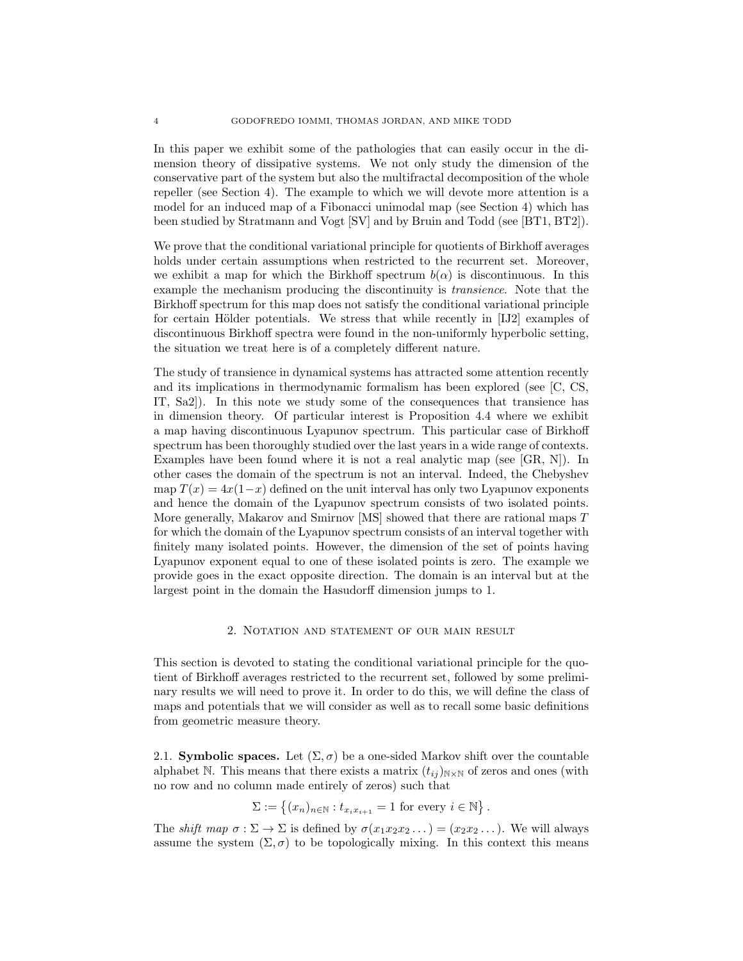In this paper we exhibit some of the pathologies that can easily occur in the dimension theory of dissipative systems. We not only study the dimension of the conservative part of the system but also the multifractal decomposition of the whole repeller (see Section 4). The example to which we will devote more attention is a model for an induced map of a Fibonacci unimodal map (see Section 4) which has been studied by Stratmann and Vogt [SV] and by Bruin and Todd (see [BT1, BT2]).

We prove that the conditional variational principle for quotients of Birkhoff averages holds under certain assumptions when restricted to the recurrent set. Moreover, we exhibit a map for which the Birkhoff spectrum  $b(\alpha)$  is discontinuous. In this example the mechanism producing the discontinuity is transience. Note that the Birkhoff spectrum for this map does not satisfy the conditional variational principle for certain Hölder potentials. We stress that while recently in [IJ2] examples of discontinuous Birkhoff spectra were found in the non-uniformly hyperbolic setting, the situation we treat here is of a completely different nature.

The study of transience in dynamical systems has attracted some attention recently and its implications in thermodynamic formalism has been explored (see [C, CS, IT, Sa2]). In this note we study some of the consequences that transience has in dimension theory. Of particular interest is Proposition 4.4 where we exhibit a map having discontinuous Lyapunov spectrum. This particular case of Birkhoff spectrum has been thoroughly studied over the last years in a wide range of contexts. Examples have been found where it is not a real analytic map (see [GR, N]). In other cases the domain of the spectrum is not an interval. Indeed, the Chebyshev map  $T(x) = 4x(1-x)$  defined on the unit interval has only two Lyapunov exponents and hence the domain of the Lyapunov spectrum consists of two isolated points. More generally, Makarov and Smirnov [MS] showed that there are rational maps T for which the domain of the Lyapunov spectrum consists of an interval together with finitely many isolated points. However, the dimension of the set of points having Lyapunov exponent equal to one of these isolated points is zero. The example we provide goes in the exact opposite direction. The domain is an interval but at the largest point in the domain the Hasudorff dimension jumps to 1.

#### 2. Notation and statement of our main result

This section is devoted to stating the conditional variational principle for the quotient of Birkhoff averages restricted to the recurrent set, followed by some preliminary results we will need to prove it. In order to do this, we will define the class of maps and potentials that we will consider as well as to recall some basic definitions from geometric measure theory.

2.1. Symbolic spaces. Let  $(\Sigma, \sigma)$  be a one-sided Markov shift over the countable alphabet N. This means that there exists a matrix  $(t_{ij})_{N\times N}$  of zeros and ones (with no row and no column made entirely of zeros) such that

$$
\Sigma := \left\{ (x_n)_{n \in \mathbb{N}} : t_{x_i x_{i+1}} = 1 \text{ for every } i \in \mathbb{N} \right\}.
$$

The shift map  $\sigma : \Sigma \to \Sigma$  is defined by  $\sigma(x_1x_2x_2\ldots) = (x_2x_2\ldots)$ . We will always assume the system  $(\Sigma, \sigma)$  to be topologically mixing. In this context this means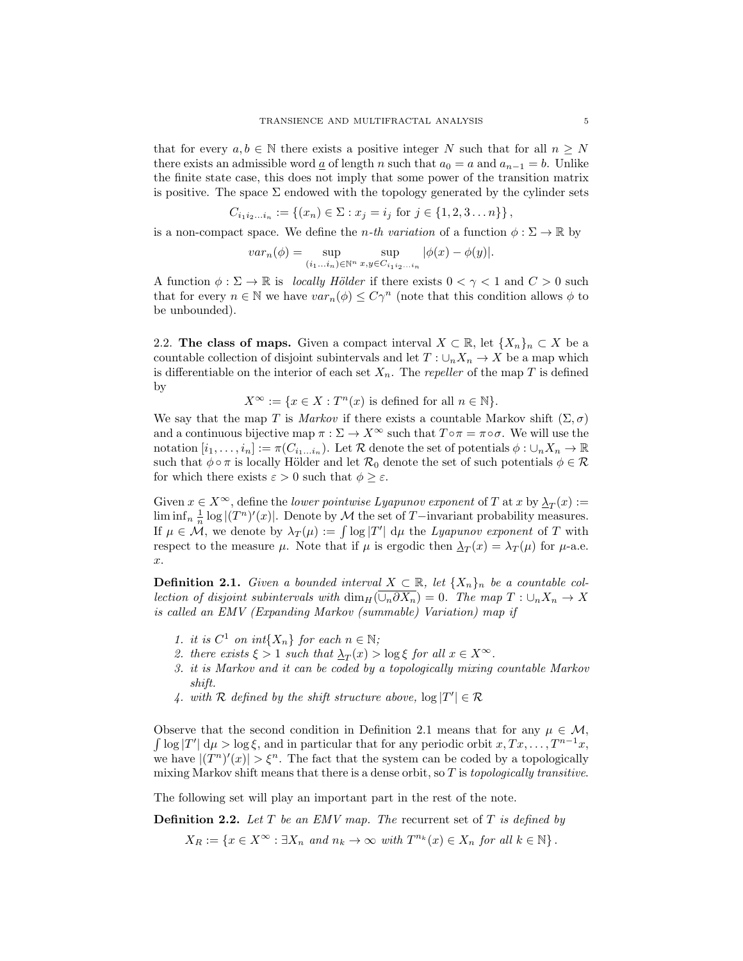that for every  $a, b \in \mathbb{N}$  there exists a positive integer N such that for all  $n \geq N$ there exists an admissible word  $\underline{a}$  of length n such that  $a_0 = a$  and  $a_{n-1} = b$ . Unlike the finite state case, this does not imply that some power of the transition matrix is positive. The space  $\Sigma$  endowed with the topology generated by the cylinder sets

$$
C_{i_1 i_2 \dots i_n} := \{(x_n) \in \Sigma : x_j = i_j \text{ for } j \in \{1, 2, 3 \dots n\}\},\
$$

is a non-compact space. We define the *n*-th variation of a function  $\phi : \Sigma \to \mathbb{R}$  by

$$
var_n(\phi) = \sup_{(i_1...i_n) \in \mathbb{N}^n} \sup_{x,y \in C_{i_1 i_2...i_n}} |\phi(x) - \phi(y)|.
$$

A function  $\phi : \Sigma \to \mathbb{R}$  is locally Hölder if there exists  $0 < \gamma < 1$  and  $C > 0$  such that for every  $n \in \mathbb{N}$  we have  $var_n(\phi) \leq C\gamma^n$  (note that this condition allows  $\phi$  to be unbounded).

2.2. The class of maps. Given a compact interval  $X \subset \mathbb{R}$ , let  $\{X_n\}_n \subset X$  be a countable collection of disjoint subintervals and let  $T: \bigcup_n X_n \to X$  be a map which is differentiable on the interior of each set  $X_n$ . The *repeller* of the map T is defined by

 $X^{\infty} := \{x \in X : T^{n}(x)$  is defined for all  $n \in \mathbb{N}\}.$ 

We say that the map T is Markov if there exists a countable Markov shift  $(\Sigma, \sigma)$ and a continuous bijective map  $\pi : \Sigma \to X^{\infty}$  such that  $T \circ \pi = \pi \circ \sigma$ . We will use the notation  $[i_1, \ldots, i_n] := \pi(C_{i_1...i_n})$ . Let R denote the set of potentials  $\phi : \bigcup_n X_n \to \mathbb{R}$ such that  $\phi \circ \pi$  is locally Hölder and let  $\mathcal{R}_0$  denote the set of such potentials  $\phi \in \mathcal{R}$ for which there exists  $\varepsilon > 0$  such that  $\phi \geq \varepsilon$ .

Given  $x \in X^{\infty}$ , define the *lower pointwise Lyapunov exponent* of T at x by  $\Delta_T(x) :=$ lim inf<sub>n</sub>  $\frac{1}{n}$  log  $|(T^n)'(x)|$ . Denote by M the set of T−invariant probability measures. If  $\mu \in \mathcal{M}$ , we denote by  $\lambda_T(\mu) := \int \log |T'| d\mu$  the Lyapunov exponent of T with respect to the measure  $\mu$ . Note that if  $\mu$  is ergodic then  $\Delta_T(x) = \lambda_T(\mu)$  for  $\mu$ -a.e. x.

**Definition 2.1.** Given a bounded interval  $X \subset \mathbb{R}$ , let  $\{X_n\}_n$  be a countable collection of disjoint subintervals with  $\dim_H(\cup_n \partial X_n)=0$ . The map  $T : \cup_n X_n \to X$ is called an EMV (Expanding Markov (summable) Variation) map if

- 1. it is  $C^1$  on int $\{X_n\}$  for each  $n \in \mathbb{N}$ ;
- 2. there exists  $\xi > 1$  such that  $\Delta_T(x) > \log \xi$  for all  $x \in X^{\infty}$ .
- 3. it is Markov and it can be coded by a topologically mixing countable Markov shift.
- 4. with R defined by the shift structure above,  $\log |T'| \in \mathcal{R}$

Observe that the second condition in Definition 2.1 means that for any  $\mu \in \mathcal{M}$ ,  $\int \log |T'| d\mu > \log \xi$ , and in particular that for any periodic orbit  $x, Tx, \ldots, T^{n-1}x$ , we have  $|(T^n)'(x)| > \xi^n$ . The fact that the system can be coded by a topologically mixing Markov shift means that there is a dense orbit, so  $T$  is topologically transitive.

The following set will play an important part in the rest of the note.

**Definition 2.2.** Let T be an EMV map. The recurrent set of T is defined by

 $X_R := \{x \in X^\infty : \exists X_n \text{ and } n_k \to \infty \text{ with } T^{n_k}(x) \in X_n \text{ for all } k \in \mathbb{N}\}.$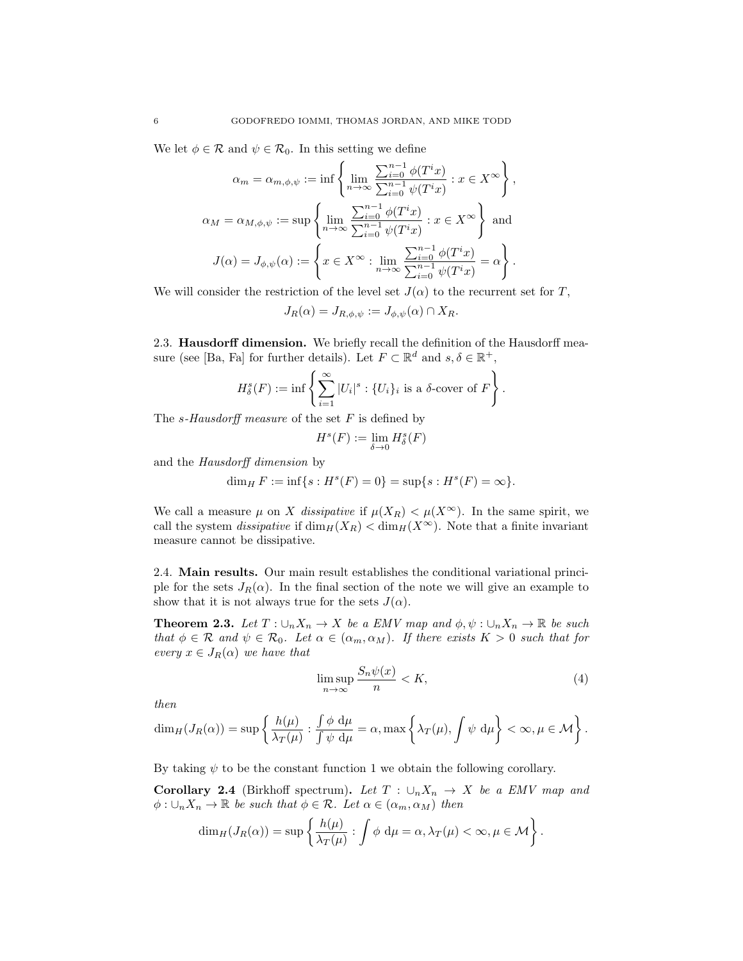We let  $\phi \in \mathcal{R}$  and  $\psi \in \mathcal{R}_0$ . In this setting we define

$$
\alpha_m = \alpha_{m,\phi,\psi} := \inf \left\{ \lim_{n \to \infty} \frac{\sum_{i=0}^{n-1} \phi(T^i x)}{\sum_{i=0}^{n-1} \psi(T^i x)} : x \in X^{\infty} \right\},\newline \alpha_M = \alpha_{M,\phi,\psi} := \sup \left\{ \lim_{n \to \infty} \frac{\sum_{i=0}^{n-1} \phi(T^i x)}{\sum_{i=0}^{n-1} \psi(T^i x)} : x \in X^{\infty} \right\} \text{ and } \newline J(\alpha) = J_{\phi,\psi}(\alpha) := \left\{ x \in X^{\infty} : \lim_{n \to \infty} \frac{\sum_{i=0}^{n-1} \phi(T^i x)}{\sum_{i=0}^{n-1} \psi(T^i x)} = \alpha \right\}.
$$

We will consider the restriction of the level set  $J(\alpha)$  to the recurrent set for T,

$$
J_R(\alpha) = J_{R,\phi,\psi} := J_{\phi,\psi}(\alpha) \cap X_R.
$$

2.3. **Hausdorff dimension.** We briefly recall the definition of the Hausdorff measure (see [Ba, Fa] for further details). Let  $F \subset \mathbb{R}^d$  and  $s, \delta \in \mathbb{R}^+$ ,

$$
H^s_{\delta}(F) := \inf \left\{ \sum_{i=1}^{\infty} |U_i|^s : \{U_i\}_i \text{ is a } \delta\text{-cover of } F \right\}.
$$

The s-Hausdorff measure of the set  $F$  is defined by

$$
H^s(F) := \lim_{\delta \to 0} H^s_{\delta}(F)
$$

and the Hausdorff dimension by

$$
\dim_H F := \inf\{s : H^s(F) = 0\} = \sup\{s : H^s(F) = \infty\}.
$$

We call a measure  $\mu$  on X dissipative if  $\mu(X_R) < \mu(X^{\infty})$ . In the same spirit, we call the system *dissipative* if  $\dim_H(X_R) < \dim_H(X^{\infty})$ . Note that a finite invariant measure cannot be dissipative.

2.4. Main results. Our main result establishes the conditional variational principle for the sets  $J_R(\alpha)$ . In the final section of the note we will give an example to show that it is not always true for the sets  $J(\alpha)$ .

**Theorem 2.3.** Let  $T: \bigcup_n X_n \to X$  be a EMV map and  $\phi, \psi: \bigcup_n X_n \to \mathbb{R}$  be such that  $\phi \in \mathcal{R}$  and  $\psi \in \mathcal{R}_0$ . Let  $\alpha \in (\alpha_m, \alpha_M)$ . If there exists  $K > 0$  such that for every  $x \in J_R(\alpha)$  we have that

$$
\limsup_{n \to \infty} \frac{S_n \psi(x)}{n} < K,\tag{4}
$$

then

$$
\dim_H(J_R(\alpha)) = \sup \left\{ \frac{h(\mu)}{\lambda_T(\mu)} : \frac{\int \phi \, d\mu}{\int \psi \, d\mu} = \alpha, \max \left\{ \lambda_T(\mu), \int \psi \, d\mu \right\} < \infty, \mu \in \mathcal{M} \right\}.
$$

By taking  $\psi$  to be the constant function 1 we obtain the following corollary.

Corollary 2.4 (Birkhoff spectrum). Let  $T : \bigcup_n X_n \to X$  be a EMV map and  $\phi: \bigcup_n X_n \to \mathbb{R}$  be such that  $\phi \in \mathcal{R}$ . Let  $\alpha \in (\alpha_m, \alpha_M)$  then

$$
\dim_H(J_R(\alpha)) = \sup \left\{ \frac{h(\mu)}{\lambda_T(\mu)} : \int \phi \, d\mu = \alpha, \lambda_T(\mu) < \infty, \mu \in \mathcal{M} \right\}.
$$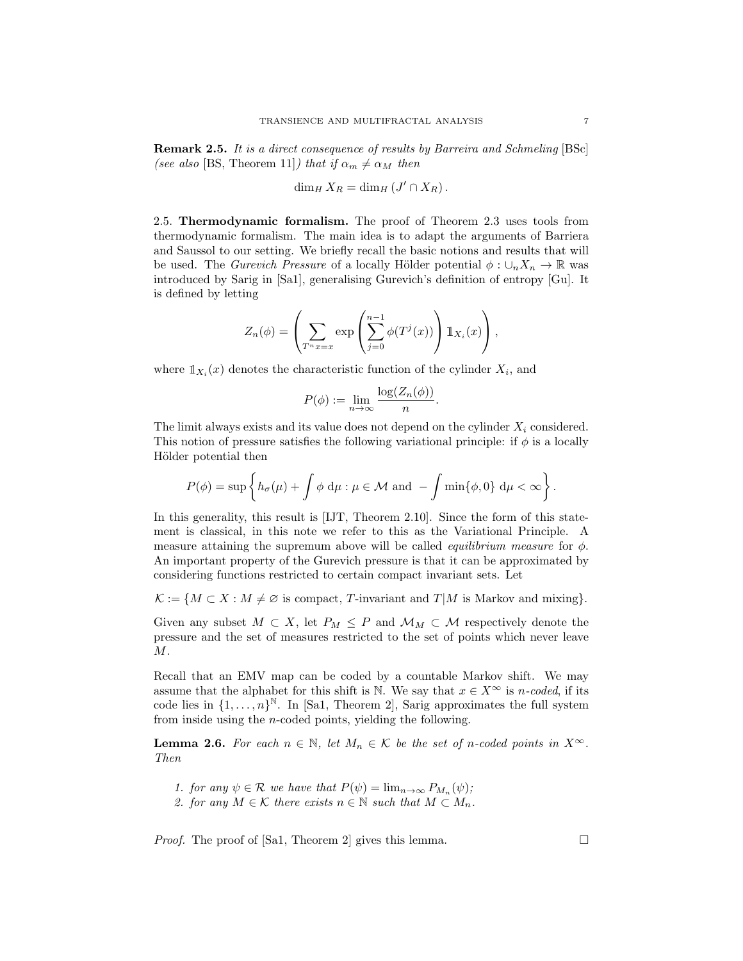Remark 2.5. It is a direct consequence of results by Barreira and Schmeling [BSc] (see also [BS, Theorem 11]) that if  $\alpha_m \neq \alpha_M$  then

$$
\dim_H X_R = \dim_H (J' \cap X_R).
$$

2.5. Thermodynamic formalism. The proof of Theorem 2.3 uses tools from thermodynamic formalism. The main idea is to adapt the arguments of Barriera and Saussol to our setting. We briefly recall the basic notions and results that will be used. The *Gurevich Pressure* of a locally Hölder potential  $\phi : \bigcup_n X_n \to \mathbb{R}$  was introduced by Sarig in [Sa1], generalising Gurevich's definition of entropy [Gu]. It is defined by letting

$$
Z_n(\phi) = \left(\sum_{T^n x = x} \exp\left(\sum_{j=0}^{n-1} \phi(T^j(x))\right) \mathbb{1}_{X_i}(x)\right),\,
$$

where  $\mathbb{1}_{X_i}(x)$  denotes the characteristic function of the cylinder  $X_i$ , and

$$
P(\phi) := \lim_{n \to \infty} \frac{\log(Z_n(\phi))}{n}.
$$

The limit always exists and its value does not depend on the cylinder  $X_i$  considered. This notion of pressure satisfies the following variational principle: if  $\phi$  is a locally Hölder potential then

$$
P(\phi) = \sup \left\{ h_{\sigma}(\mu) + \int \phi \, d\mu : \mu \in \mathcal{M} \text{ and } -\int \min\{\phi, 0\} \, d\mu < \infty \right\}
$$

In this generality, this result is [IJT, Theorem 2.10]. Since the form of this statement is classical, in this note we refer to this as the Variational Principle. A measure attaining the supremum above will be called *equilibrium measure* for  $\phi$ . An important property of the Gurevich pressure is that it can be approximated by considering functions restricted to certain compact invariant sets. Let

 $\mathcal{K} := \{M \subset X : M \neq \emptyset \text{ is compact}, T\text{-invariant and } T|M \text{ is Markov and mixing}\}.$ 

Given any subset  $M \subset X$ , let  $P_M \leq P$  and  $\mathcal{M}_M \subset \mathcal{M}$  respectively denote the pressure and the set of measures restricted to the set of points which never leave M.

Recall that an EMV map can be coded by a countable Markov shift. We may assume that the alphabet for this shift is N. We say that  $x \in X^{\infty}$  is n-coded, if its code lies in  $\{1, \ldots, n\}^{\mathbb{N}}$ . In [Sa1, Theorem 2], Sarig approximates the full system from inside using the n-coded points, yielding the following.

**Lemma 2.6.** For each  $n \in \mathbb{N}$ , let  $M_n \in \mathcal{K}$  be the set of n-coded points in  $X^{\infty}$ . Then

- 1. for any  $\psi \in \mathcal{R}$  we have that  $P(\psi) = \lim_{n \to \infty} P_{M_n}(\psi)$ ;
- 2. for any  $M \in \mathcal{K}$  there exists  $n \in \mathbb{N}$  such that  $M \subset M_n$ .

*Proof.* The proof of [Sa1, Theorem 2] gives this lemma.  $\Box$ 

.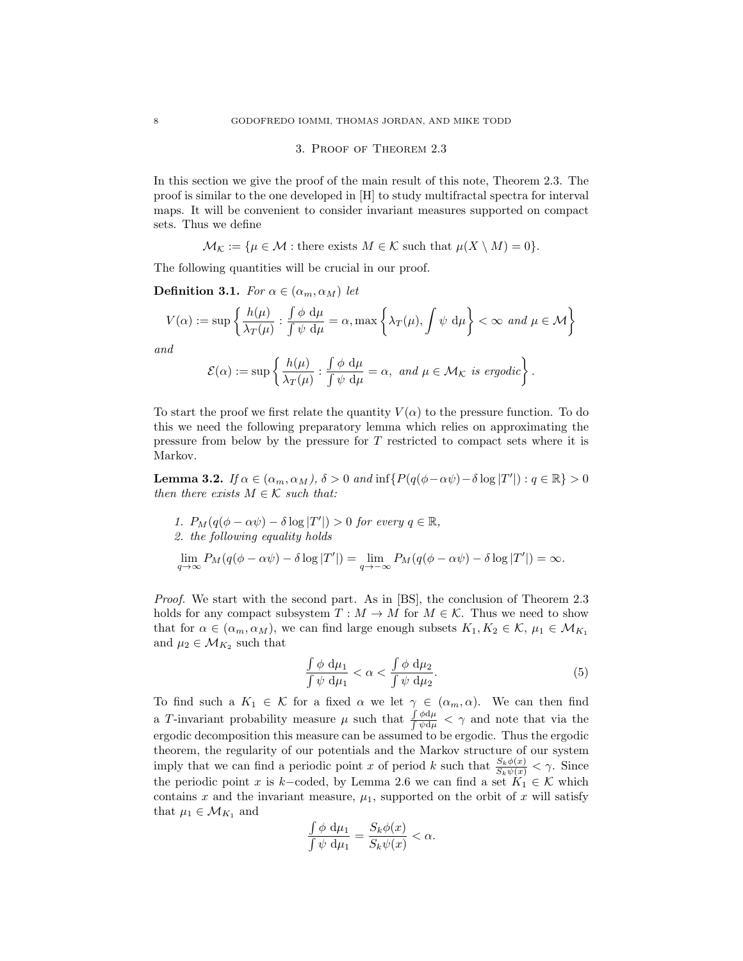# 3. Proof of Theorem 2.3

In this section we give the proof of the main result of this note, Theorem 2.3. The proof is similar to the one developed in [H] to study multifractal spectra for interval maps. It will be convenient to consider invariant measures supported on compact sets. Thus we define

 $\mathcal{M}_{\mathcal{K}} := \{ \mu \in \mathcal{M} : \text{there exists } M \in \mathcal{K} \text{ such that } \mu(X \setminus M) = 0 \}.$ 

The following quantities will be crucial in our proof.

**Definition 3.1.** For  $\alpha \in (\alpha_m, \alpha_M)$  let

$$
V(\alpha):=\sup\left\{\frac{h(\mu)}{\lambda_T(\mu)}:\frac{\int\phi\;\text{d}\mu}{\int\psi\;\text{d}\mu}=\alpha,\max\left\{\lambda_T(\mu),\int\psi\;\text{d}\mu\right\}<\infty\;\,and\;\mu\in\mathcal{M}\right\}
$$

and

$$
\mathcal{E}(\alpha) := \sup \left\{ \frac{h(\mu)}{\lambda_T(\mu)} : \frac{\int \phi \, d\mu}{\int \psi \, d\mu} = \alpha, \text{ and } \mu \in \mathcal{M}_\mathcal{K} \text{ is ergodic} \right\}.
$$

To start the proof we first relate the quantity  $V(\alpha)$  to the pressure function. To do this we need the following preparatory lemma which relies on approximating the pressure from below by the pressure for  $T$  restricted to compact sets where it is Markov.

**Lemma 3.2.** If  $\alpha \in (\alpha_m, \alpha_M)$ ,  $\delta > 0$  and  $\inf\{P(q(\phi - \alpha \psi) - \delta \log |T'|): q \in \mathbb{R}\} > 0$ then there exists  $M \in \mathcal{K}$  such that:

1. 
$$
P_M(q(\phi - \alpha \psi) - \delta \log |T'|) > 0
$$
 for every  $q \in \mathbb{R}$ ,  
\n2. the following equality holds  
\n
$$
\lim_{q \to \infty} P_M(q(\phi - \alpha \psi) - \delta \log |T'|) = \lim_{q \to -\infty} P_M(q(\phi - \alpha \psi) - \delta \log |T'|) = \infty.
$$

Proof. We start with the second part. As in [BS], the conclusion of Theorem 2.3 holds for any compact subsystem  $T : M \to M$  for  $M \in \mathcal{K}$ . Thus we need to show that for  $\alpha \in (\alpha_m, \alpha_M)$ , we can find large enough subsets  $K_1, K_2 \in \mathcal{K}$ ,  $\mu_1 \in \mathcal{M}_{K_1}$ and  $\mu_2 \in \mathcal{M}_{K_2}$  such that

$$
\frac{\int \phi \, d\mu_1}{\int \psi \, d\mu_1} < \alpha < \frac{\int \phi \, d\mu_2}{\int \psi \, d\mu_2}.\tag{5}
$$

To find such a  $K_1 \in \mathcal{K}$  for a fixed  $\alpha$  we let  $\gamma \in (\alpha_m, \alpha)$ . We can then find a T-invariant probability measure  $\mu$  such that  $\frac{\int \phi \, d\mu}{\int \phi \, d\mu}$  $\frac{\int \varphi \, d\mu}{\int \psi \, d\mu}$  <  $\gamma$  and note that via the ergodic decomposition this measure can be assumed to be ergodic. Thus the ergodic theorem, the regularity of our potentials and the Markov structure of our system imply that we can find a periodic point x of period k such that  $\frac{S_k\phi(x)}{S_k\psi(x)} < \gamma$ . Since the periodic point x is k-coded, by Lemma 2.6 we can find a set  $K_1 \in \mathcal{K}$  which contains x and the invariant measure,  $\mu_1$ , supported on the orbit of x will satisfy that  $\mu_1 \in \mathcal{M}_{K_1}$  and

$$
\frac{\int \phi \, d\mu_1}{\int \psi \, d\mu_1} = \frac{S_k \phi(x)}{S_k \psi(x)} < \alpha.
$$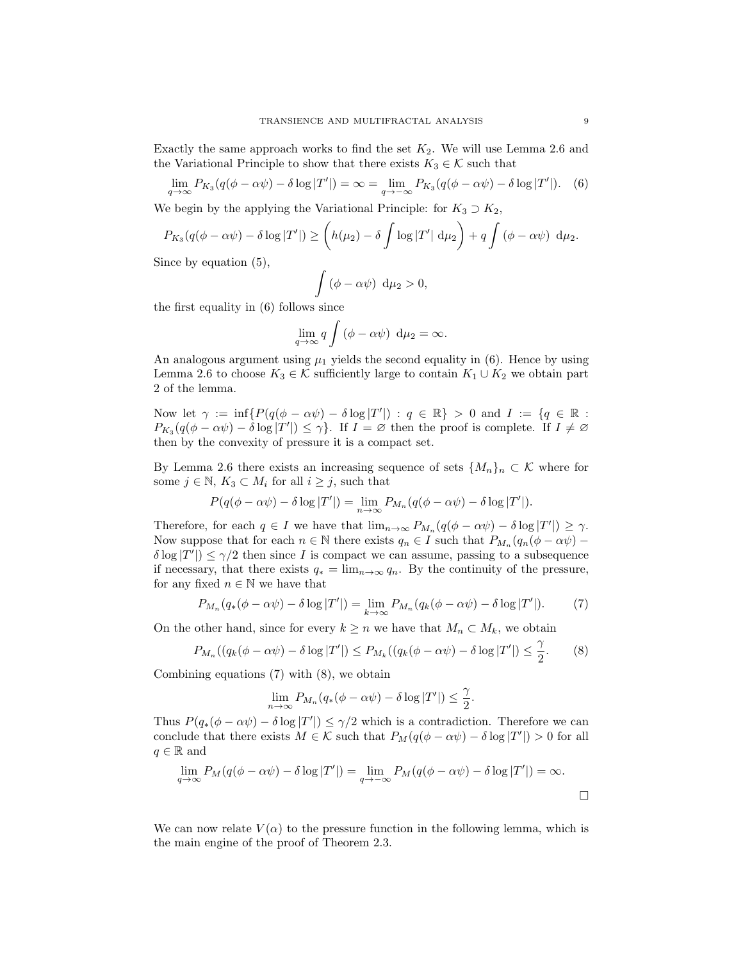Exactly the same approach works to find the set  $K_2$ . We will use Lemma 2.6 and the Variational Principle to show that there exists  $K_3 \in \mathcal{K}$  such that

$$
\lim_{q \to \infty} P_{K_3}(q(\phi - \alpha \psi) - \delta \log |T'|) = \infty = \lim_{q \to -\infty} P_{K_3}(q(\phi - \alpha \psi) - \delta \log |T'|). \tag{6}
$$

We begin by the applying the Variational Principle: for  $K_3 \supset K_2$ ,

$$
P_{K_3}(q(\phi - \alpha \psi) - \delta \log |T'|) \ge \left(h(\mu_2) - \delta \int \log |T'| d\mu_2\right) + q \int (\phi - \alpha \psi) d\mu_2.
$$

Since by equation (5),

$$
\int\limits_{.} (\phi - \alpha \psi) \, d\mu_2 > 0,
$$

the first equality in (6) follows since

$$
\lim_{q \to \infty} q \int (\phi - \alpha \psi) d\mu_2 = \infty.
$$

An analogous argument using  $\mu_1$  yields the second equality in (6). Hence by using Lemma 2.6 to choose  $K_3 \in \mathcal{K}$  sufficiently large to contain  $K_1 \cup K_2$  we obtain part 2 of the lemma.

Now let  $\gamma := \inf \{ P(q(\phi - \alpha \psi) - \delta \log |T'|) : q \in \mathbb{R} \} > 0$  and  $I := \{ q \in \mathbb{R} :$  $P_{K_3}(q(\phi - \alpha \psi) - \delta \log |T'|) \leq \gamma$ . If  $I = \varnothing$  then the proof is complete. If  $I \neq \varnothing$ then by the convexity of pressure it is a compact set.

By Lemma 2.6 there exists an increasing sequence of sets  $\{M_n\}_n \subset \mathcal{K}$  where for some  $j \in \mathbb{N}$ ,  $K_3 \subset M_i$  for all  $i \geq j$ , such that

$$
P(q(\phi - \alpha \psi) - \delta \log |T'|) = \lim_{n \to \infty} P_{M_n}(q(\phi - \alpha \psi) - \delta \log |T'|).
$$

Therefore, for each  $q \in I$  we have that  $\lim_{n\to\infty} P_{M_n}(q(\phi - \alpha \psi) - \delta \log |T'|) \geq \gamma$ . Now suppose that for each  $n \in \mathbb{N}$  there exists  $q_n \in I$  such that  $P_{M_n}(q_n(\phi - \alpha \psi) \delta \log |T'|$ )  $\leq \gamma/2$  then since I is compact we can assume, passing to a subsequence if necessary, that there exists  $q_* = \lim_{n \to \infty} q_n$ . By the continuity of the pressure, for any fixed  $n \in \mathbb{N}$  we have that

$$
P_{M_n}(q_*(\phi - \alpha \psi) - \delta \log |T'|) = \lim_{k \to \infty} P_{M_n}(q_k(\phi - \alpha \psi) - \delta \log |T'|). \tag{7}
$$

On the other hand, since for every  $k \geq n$  we have that  $M_n \subset M_k$ , we obtain

$$
P_{M_n}((q_k(\phi - \alpha \psi) - \delta \log |T'|) \le P_{M_k}((q_k(\phi - \alpha \psi) - \delta \log |T'|) \le \frac{\gamma}{2}.
$$
 (8)

Combining equations (7) with (8), we obtain

$$
\lim_{n \to \infty} P_{M_n}(q_*(\phi - \alpha \psi) - \delta \log |T'|) \le \frac{\gamma}{2}.
$$

Thus  $P(q_*(\phi - \alpha \psi) - \delta \log |T'|) \leq \gamma/2$  which is a contradiction. Therefore we can conclude that there exists  $M \in \mathcal{K}$  such that  $P_M(q(\phi - \alpha \psi) - \delta \log |T'|) > 0$  for all  $q \in \mathbb{R}$  and

$$
\lim_{q \to \infty} P_M(q(\phi - \alpha \psi) - \delta \log |T'|) = \lim_{q \to -\infty} P_M(q(\phi - \alpha \psi) - \delta \log |T'|) = \infty.
$$

We can now relate  $V(\alpha)$  to the pressure function in the following lemma, which is the main engine of the proof of Theorem 2.3.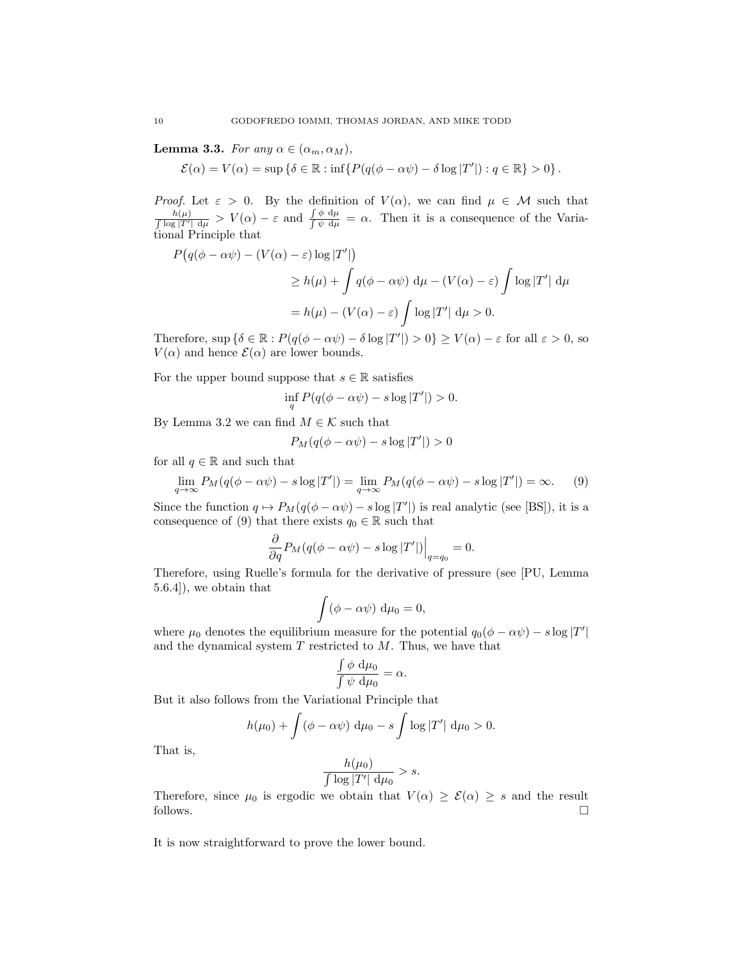**Lemma 3.3.** For any  $\alpha \in (\alpha_m, \alpha_M)$ ,

 $\mathcal{E}(\alpha) = V(\alpha) = \sup \{ \delta \in \mathbb{R} : \inf \{ P(q(\phi - \alpha \psi) - \delta \log |T'|) : q \in \mathbb{R} \} > 0 \}.$ 

*Proof.* Let  $\varepsilon > 0$ . By the definition of  $V(\alpha)$ , we can find  $\mu \in \mathcal{M}$  such that  $\frac{h(\mu)}{\int \log |T'| d\mu} > V(\alpha) - \varepsilon$  and  $\frac{\int \phi d\mu}{\int \psi d\mu} = \alpha$ . Then it is a consequence of the Variational Principle that

$$
P(q(\phi - \alpha \psi) - (V(\alpha) - \varepsilon) \log |T'|)
$$
  
\n
$$
\geq h(\mu) + \int q(\phi - \alpha \psi) d\mu - (V(\alpha) - \varepsilon) \int \log |T'| d\mu
$$
  
\n
$$
= h(\mu) - (V(\alpha) - \varepsilon) \int \log |T'| d\mu > 0.
$$

Therefore,  $\sup \{\delta \in \mathbb{R} : P(q(\phi - \alpha \psi) - \delta \log |T'|) > 0\} \ge V(\alpha) - \varepsilon$  for all  $\varepsilon > 0$ , so  $V(\alpha)$  and hence  $\mathcal{E}(\alpha)$  are lower bounds.

For the upper bound suppose that  $s \in \mathbb{R}$  satisfies

$$
\inf_{q} P(q(\phi - \alpha \psi) - s \log |T'|) > 0.
$$

By Lemma 3.2 we can find  $M \in \mathcal{K}$  such that

$$
P_M(q(\phi - \alpha \psi) - s \log |T'|) > 0
$$

for all  $q \in \mathbb{R}$  and such that

$$
\lim_{q \to \infty} P_M(q(\phi - \alpha \psi) - s \log |T'|) = \lim_{q \to \infty} P_M(q(\phi - \alpha \psi) - s \log |T'|) = \infty.
$$
 (9)

Since the function  $q \mapsto P_M(q(\phi - \alpha \psi) - s \log |T'|)$  is real analytic (see [BS]), it is a consequence of (9) that there exists  $q_0 \in \mathbb{R}$  such that

$$
\frac{\partial}{\partial q}P_M(q(\phi - \alpha \psi) - s \log |T'|)\Big|_{q=q_0} = 0.
$$

Therefore, using Ruelle's formula for the derivative of pressure (see [PU, Lemma 5.6.4]), we obtain that

$$
\int (\phi - \alpha \psi) d\mu_0 = 0,
$$

where  $\mu_0$  denotes the equilibrium measure for the potential  $q_0(\phi - \alpha \psi) - s \log |T'|$ and the dynamical system  $T$  restricted to  $M$ . Thus, we have that

$$
\frac{\int \phi \, d\mu_0}{\int \psi \, d\mu_0} = \alpha.
$$

But it also follows from the Variational Principle that

$$
h(\mu_0) + \int (\phi - \alpha \psi) \, \mathrm{d}\mu_0 - s \int \log |T'| \, \mathrm{d}\mu_0 > 0.
$$

That is,

$$
\frac{h(\mu_0)}{\int \log |T'| \, \mathrm{d}\mu_0} > s.
$$

Therefore, since  $\mu_0$  is ergodic we obtain that  $V(\alpha) \geq \mathcal{E}(\alpha) \geq s$  and the result follows.  $\Box$ 

It is now straightforward to prove the lower bound.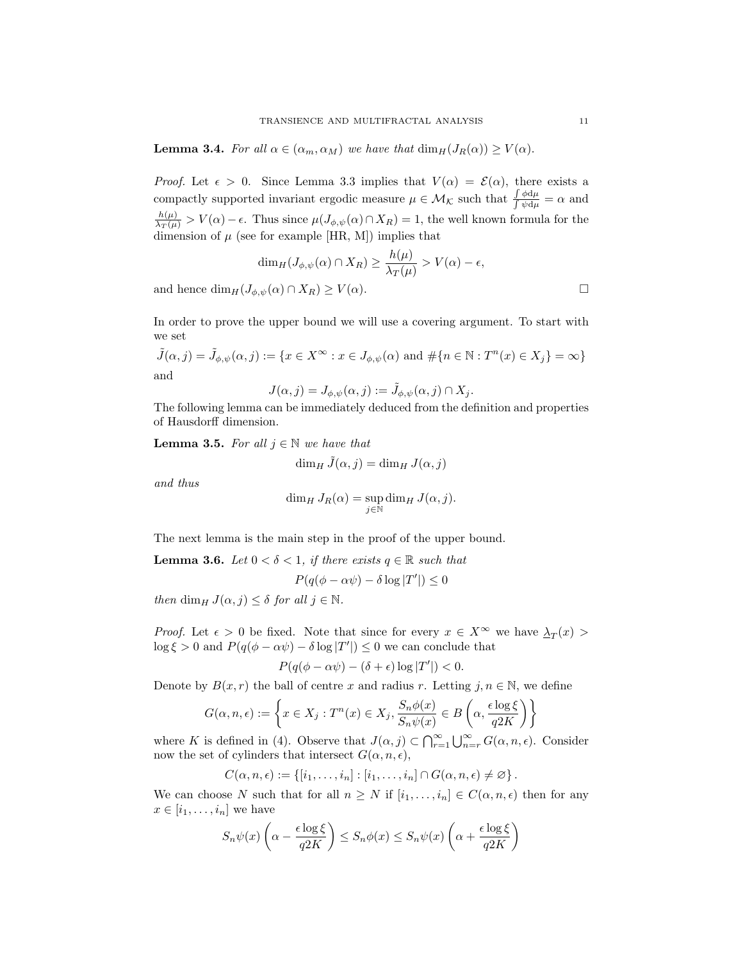**Lemma 3.4.** For all  $\alpha \in (\alpha_m, \alpha_M)$  we have that  $\dim_H(J_R(\alpha)) \geq V(\alpha)$ .

*Proof.* Let  $\epsilon > 0$ . Since Lemma 3.3 implies that  $V(\alpha) = \mathcal{E}(\alpha)$ , there exists a compactly supported invariant ergodic measure  $\mu \in \mathcal{M}_{\mathcal{K}}$  such that  $\frac{\int \phi d\mu}{\int \psi d\mu} = \alpha$  and  $\frac{h(\mu)}{\lambda_T(\mu)} > V(\alpha) - \epsilon$ . Thus since  $\mu(J_{\phi,\psi}(\alpha) \cap X_R) = 1$ , the well known formula for the dimension of  $\mu$  (see for example [HR, M]) implies that

$$
\dim_H(J_{\phi,\psi}(\alpha) \cap X_R) \ge \frac{h(\mu)}{\lambda_T(\mu)} > V(\alpha) - \epsilon,
$$
  
and hence 
$$
\dim_H(J_{\phi,\psi}(\alpha) \cap X_R) \ge V(\alpha).
$$

In order to prove the upper bound we will use a covering argument. To start with we set

 $\tilde{J}(\alpha, j) = \tilde{J}_{\phi, \psi}(\alpha, j) := \{x \in X^{\infty} : x \in J_{\phi, \psi}(\alpha) \text{ and } \#\{n \in \mathbb{N} : T^n(x) \in X_j\} = \infty\}$ and

$$
J(\alpha,j)=J_{\phi,\psi}(\alpha,j):=\tilde{J}_{\phi,\psi}(\alpha,j)\cap X_j.
$$

The following lemma can be immediately deduced from the definition and properties of Hausdorff dimension.

**Lemma 3.5.** For all  $j \in \mathbb{N}$  we have that

$$
\dim_H \tilde{J}(\alpha, j) = \dim_H J(\alpha, j)
$$

and thus

$$
\dim_H J_R(\alpha) = \sup_{j \in \mathbb{N}} \dim_H J(\alpha, j).
$$

The next lemma is the main step in the proof of the upper bound.

**Lemma 3.6.** Let  $0 < \delta < 1$ , if there exists  $q \in \mathbb{R}$  such that

$$
P(q(\phi - \alpha \psi) - \delta \log |T'|) \le 0
$$

then dim<sub>H</sub>  $J(\alpha, j) \leq \delta$  for all  $j \in \mathbb{N}$ .

*Proof.* Let  $\epsilon > 0$  be fixed. Note that since for every  $x \in X^{\infty}$  we have  $\lambda_T(x) >$  $\log \xi > 0$  and  $P(q(\phi - \alpha \psi) - \delta \log |T'|) \leq 0$  we can conclude that

$$
P(q(\phi - \alpha \psi) - (\delta + \epsilon) \log |T'|) < 0.
$$

Denote by  $B(x, r)$  the ball of centre x and radius r. Letting  $j, n \in \mathbb{N}$ , we define

$$
G(\alpha, n, \epsilon) := \left\{ x \in X_j : T^n(x) \in X_j, \frac{S_n \phi(x)}{S_n \psi(x)} \in B\left(\alpha, \frac{\epsilon \log \xi}{q2K}\right) \right\}
$$

where K is defined in (4). Observe that  $J(\alpha, j) \subset \bigcap_{r=1}^{\infty} \bigcup_{n=r}^{\infty} G(\alpha, n, \epsilon)$ . Consider now the set of cylinders that intersect  $G(\alpha, n, \epsilon)$ ,

$$
C(\alpha, n, \epsilon) := \{ [i_1, \ldots, i_n] : [i_1, \ldots, i_n] \cap G(\alpha, n, \epsilon) \neq \varnothing \}.
$$

We can choose N such that for all  $n \geq N$  if  $[i_1, \ldots, i_n] \in C(\alpha, n, \epsilon)$  then for any  $x \in [i_1, \ldots, i_n]$  we have

$$
S_n\psi(x)\left(\alpha - \frac{\epsilon \log \xi}{q2K}\right) \le S_n\phi(x) \le S_n\psi(x)\left(\alpha + \frac{\epsilon \log \xi}{q2K}\right)
$$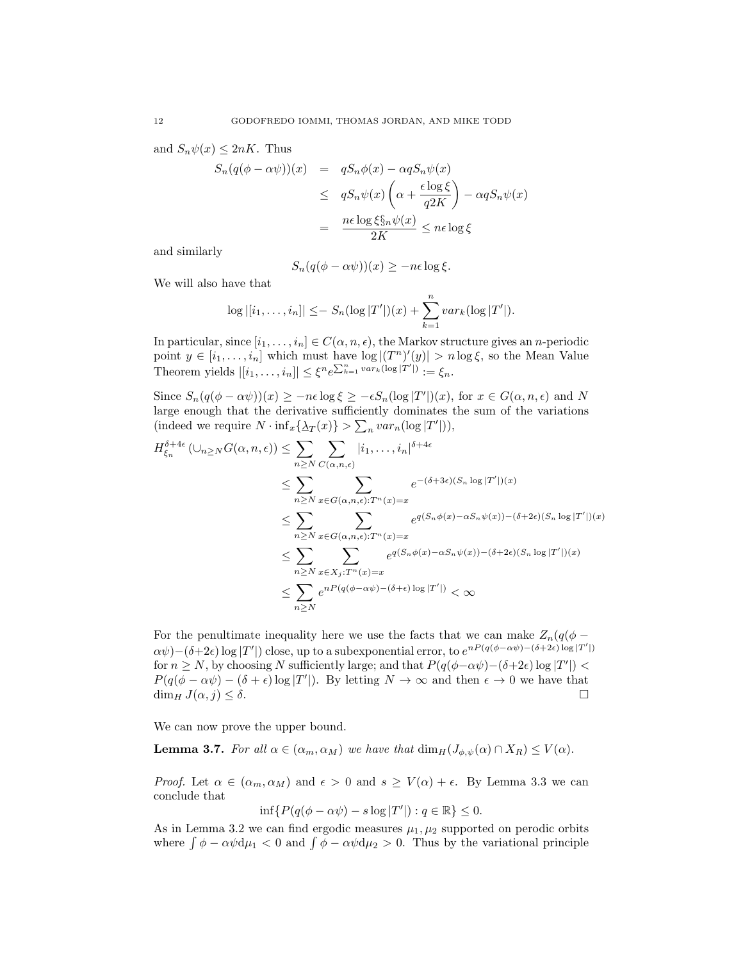and  $S_n\psi(x) \leq 2nK$ . Thus

$$
S_n(q(\phi - \alpha \psi))(x) = qS_n\phi(x) - \alpha qS_n\psi(x)
$$
  
\n
$$
\leq qS_n\psi(x)\left(\alpha + \frac{\epsilon \log \xi}{q2K}\right) - \alpha qS_n\psi(x)
$$
  
\n
$$
= \frac{n\epsilon \log \xi \xi_n \psi(x)}{2K} \leq n\epsilon \log \xi
$$

and similarly

$$
S_n(q(\phi - \alpha \psi))(x) \ge -n\epsilon \log \xi.
$$

We will also have that

$$
\log |[i_1,\ldots,i_n]| \leq -S_n(\log |T'|)(x) + \sum_{k=1}^n var_k(\log |T'|).
$$

In particular, since  $[i_1, \ldots, i_n] \in C(\alpha, n, \epsilon)$ , the Markov structure gives an *n*-periodic point  $y \in [i_1, \ldots, i_n]$  which must have  $\log |(T^n)'(y)| > n \log \xi$ , so the Mean Value Theorem yields  $|[i_1,\ldots,i_n]| \leq \xi^n e^{\sum_{k=1}^n var_k(\log |T'|)} := \xi_n$ .

Since  $S_n(q(\phi - \alpha \psi))(x) \ge -n\epsilon \log \xi \ge -\epsilon S_n(\log |T'|)(x)$ , for  $x \in G(\alpha, n, \epsilon)$  and N large enough that the derivative sufficiently dominates the sum of the variations (indeed we require  $N \cdot \inf_x {\{\Delta_T(x)\}} > \sum_n var_n(\log |T'|)),$ 

$$
H_{\xi_n}^{\delta+4\epsilon}(\bigcup_{n\geq N}G(\alpha,n,\epsilon)) \leq \sum_{n\geq N}\sum_{C(\alpha,n,\epsilon)} |i_1,\ldots,i_n|^{\delta+4\epsilon}
$$
  
\n
$$
\leq \sum_{n\geq N}\sum_{x\in G(\alpha,n,\epsilon):T^n(x)=x} e^{-(\delta+3\epsilon)(S_n \log |T'|)(x)}
$$
  
\n
$$
\leq \sum_{n\geq N}\sum_{x\in G(\alpha,n,\epsilon):T^n(x)=x} e^{q(S_n\phi(x)-\alpha S_n\psi(x))-(\delta+2\epsilon)(S_n \log |T'|)(x)}
$$
  
\n
$$
\leq \sum_{n\geq N}\sum_{x\in X_j:T^n(x)=x} e^{q(S_n\phi(x)-\alpha S_n\psi(x))-(\delta+2\epsilon)(S_n \log |T'|)(x)}
$$
  
\n
$$
\leq \sum_{n\geq N} e^{nP(q(\phi-\alpha\psi)-(\delta+\epsilon)\log |T'|)} < \infty
$$

For the penultimate inequality here we use the facts that we can make  $Z_n(q(\phi \alpha\psi$ )−( $\delta+2\epsilon$ ) log |T'|) close, up to a subexponential error, to  $e^{nP(q(\phi-\alpha\psi)-(\delta+2\epsilon))\log |T'|}$ for  $n \ge N$ , by choosing N sufficiently large; and that  $P(q(\phi - \alpha \psi) - (\delta + 2\epsilon) \log |T'|)$  $P(q(\phi - \alpha \psi) - (\delta + \epsilon) \log |T'|)$ . By letting  $N \to \infty$  and then  $\epsilon \to 0$  we have that  $\dim_H J(\alpha, j) \leq \delta.$ 

We can now prove the upper bound.

**Lemma 3.7.** For all  $\alpha \in (\alpha_m, \alpha_M)$  we have that  $\dim_H(J_{\phi,\psi}(\alpha) \cap X_R) \leq V(\alpha)$ .

*Proof.* Let  $\alpha \in (\alpha_m, \alpha_M)$  and  $\epsilon > 0$  and  $s \ge V(\alpha) + \epsilon$ . By Lemma 3.3 we can conclude that

$$
\inf\{P(q(\phi - \alpha\psi) - s\log|T'|): q \in \mathbb{R}\} \le 0.
$$

As in Lemma 3.2 we can find ergodic measures  $\mu_1, \mu_2$  supported on perodic orbits where  $\int \phi - \alpha \psi d\mu_1 < 0$  and  $\int \phi - \alpha \psi d\mu_2 > 0$ . Thus by the variational principle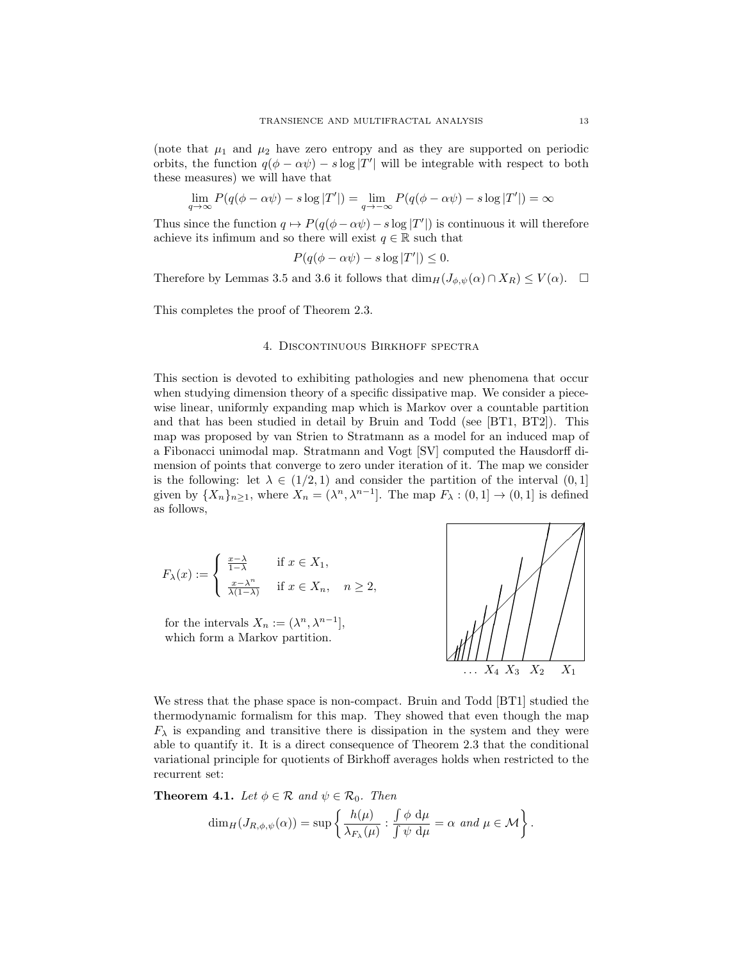(note that  $\mu_1$  and  $\mu_2$  have zero entropy and as they are supported on periodic orbits, the function  $q(\phi - \alpha \psi) - s \log |T'|$  will be integrable with respect to both these measures) we will have that

$$
\lim_{q \to \infty} P(q(\phi - \alpha \psi) - s \log |T'|) = \lim_{q \to -\infty} P(q(\phi - \alpha \psi) - s \log |T'|) = \infty
$$

Thus since the function  $q \mapsto P(q(\phi - \alpha \psi) - s \log |T'|)$  is continuous it will therefore achieve its infimum and so there will exist  $q \in \mathbb{R}$  such that

$$
P(q(\phi - \alpha \psi) - s \log |T'|) \le 0.
$$

Therefore by Lemmas 3.5 and 3.6 it follows that  $\dim_H(J_{\phi,\psi}(\alpha) \cap X_R) \leq V(\alpha)$ .  $\Box$ 

This completes the proof of Theorem 2.3.

### 4. Discontinuous Birkhoff spectra

This section is devoted to exhibiting pathologies and new phenomena that occur when studying dimension theory of a specific dissipative map. We consider a piecewise linear, uniformly expanding map which is Markov over a countable partition and that has been studied in detail by Bruin and Todd (see [BT1, BT2]). This map was proposed by van Strien to Stratmann as a model for an induced map of a Fibonacci unimodal map. Stratmann and Vogt [SV] computed the Hausdorff dimension of points that converge to zero under iteration of it. The map we consider is the following: let  $\lambda \in (1/2, 1)$  and consider the partition of the interval  $(0, 1]$ given by  $\{X_n\}_{n\geq 1}$ , where  $X_n = (\lambda^n, \lambda^{n-1}]$ . The map  $F_\lambda : (0,1] \to (0,1]$  is defined as follows,

$$
F_{\lambda}(x) := \begin{cases} \frac{x-\lambda}{1-\lambda} & \text{if } x \in X_1, \\ \frac{x-\lambda^n}{\lambda(1-\lambda)} & \text{if } x \in X_n, \quad n \ge 2, \end{cases}
$$

for the intervals  $X_n := (\lambda^n, \lambda^{n-1}],$ which form a Markov partition.



We stress that the phase space is non-compact. Bruin and Todd [BT1] studied the thermodynamic formalism for this map. They showed that even though the map  $F_{\lambda}$  is expanding and transitive there is dissipation in the system and they were able to quantify it. It is a direct consequence of Theorem 2.3 that the conditional variational principle for quotients of Birkhoff averages holds when restricted to the recurrent set:

**Theorem 4.1.** Let  $\phi \in \mathcal{R}$  and  $\psi \in \mathcal{R}_0$ . Then

$$
\dim_H(J_{R,\phi,\psi}(\alpha)) = \sup \left\{ \frac{h(\mu)}{\lambda_{F_\lambda}(\mu)} : \frac{\int \phi \, d\mu}{\int \psi \, d\mu} = \alpha \, \text{ and } \mu \in \mathcal{M} \right\}.
$$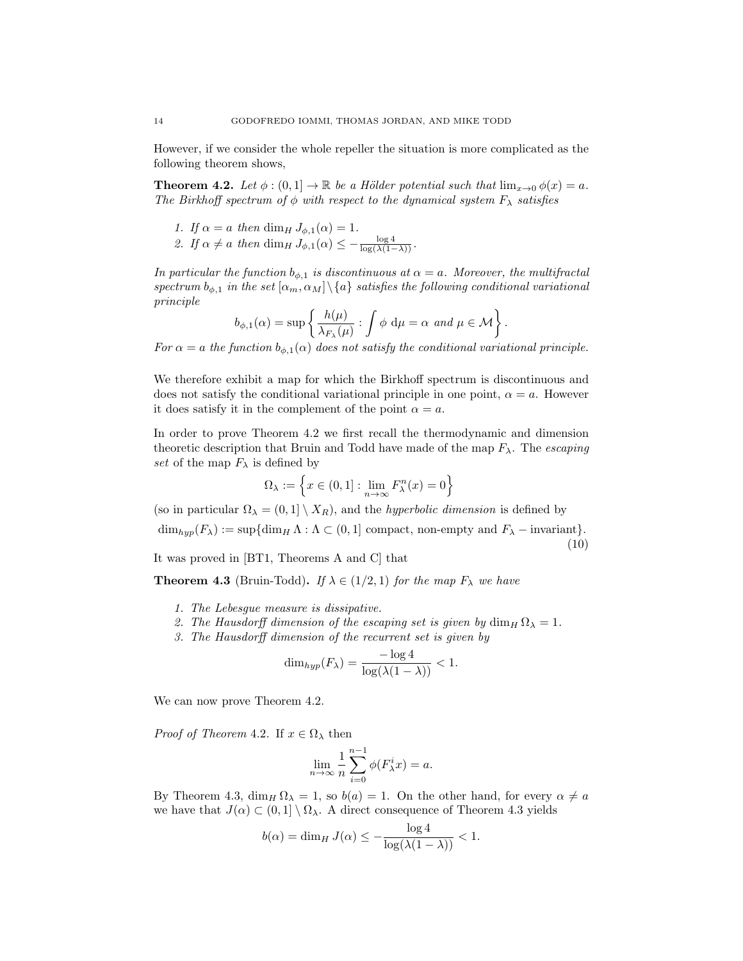However, if we consider the whole repeller the situation is more complicated as the following theorem shows,

**Theorem 4.2.** Let  $\phi$  :  $(0,1] \rightarrow \mathbb{R}$  be a Hölder potential such that  $\lim_{x\rightarrow 0} \phi(x) = a$ . The Birkhoff spectrum of  $\phi$  with respect to the dynamical system  $F_{\lambda}$  satisfies

- 1. If  $\alpha = a$  then dim<sub>H</sub>  $J_{\phi,1}(\alpha) = 1$ .
- 2. If  $\alpha \neq a$  then dim<sub>H</sub>  $J_{\phi,1}(\alpha) \leq -\frac{\log 4}{\log(\lambda(1-\lambda))}$ .

In particular the function  $b_{\phi,1}$  is discontinuous at  $\alpha = a$ . Moreover, the multifractal spectrum  $b_{\phi,1}$  in the set  $[\alpha_m, \alpha_M] \setminus \{a\}$  satisfies the following conditional variational principle

$$
b_{\phi,1}(\alpha) = \sup \left\{ \frac{h(\mu)}{\lambda_{F_\lambda}(\mu)} : \int \phi \ d\mu = \alpha \ and \ \mu \in \mathcal{M} \right\}.
$$

For  $\alpha = a$  the function  $b_{\phi,1}(\alpha)$  does not satisfy the conditional variational principle.

We therefore exhibit a map for which the Birkhoff spectrum is discontinuous and does not satisfy the conditional variational principle in one point,  $\alpha = a$ . However it does satisfy it in the complement of the point  $\alpha = a$ .

In order to prove Theorem 4.2 we first recall the thermodynamic and dimension theoretic description that Bruin and Todd have made of the map  $F_{\lambda}$ . The *escaping* set of the map  $F_{\lambda}$  is defined by

$$
\Omega_{\lambda} := \left\{ x \in (0,1] : \lim_{n \to \infty} F_{\lambda}^{n}(x) = 0 \right\}
$$

(so in particular  $\Omega_{\lambda} = (0, 1] \setminus X_R$ ), and the *hyperbolic dimension* is defined by

 $\dim_{hyp}(F_\lambda) := \sup{\dim_H \Lambda : \Lambda \subset (0,1] \text{ compact, non-empty and } F_\lambda \text{ - invariant}}.$ (10)

It was proved in [BT1, Theorems A and C] that

**Theorem 4.3** (Bruin-Todd). If  $\lambda \in (1/2, 1)$  for the map  $F_{\lambda}$  we have

- 1. The Lebesgue measure is dissipative.
- 2. The Hausdorff dimension of the escaping set is given by  $\dim_H \Omega_\lambda = 1$ .
- 3. The Hausdorff dimension of the recurrent set is given by

$$
\dim_{hyp}(F_{\lambda}) = \frac{-\log 4}{\log(\lambda(1-\lambda))} < 1.
$$

We can now prove Theorem 4.2.

*Proof of Theorem 4.2.* If  $x \in \Omega_{\lambda}$  then

$$
\lim_{n \to \infty} \frac{1}{n} \sum_{i=0}^{n-1} \phi(F_{\lambda}^{i} x) = a.
$$

By Theorem 4.3,  $\dim_H \Omega_\lambda = 1$ , so  $b(a) = 1$ . On the other hand, for every  $\alpha \neq a$ we have that  $J(\alpha) \subset (0,1] \setminus \Omega_{\lambda}$ . A direct consequence of Theorem 4.3 yields

$$
b(\alpha) = \dim_H J(\alpha) \le -\frac{\log 4}{\log(\lambda(1-\lambda))} < 1.
$$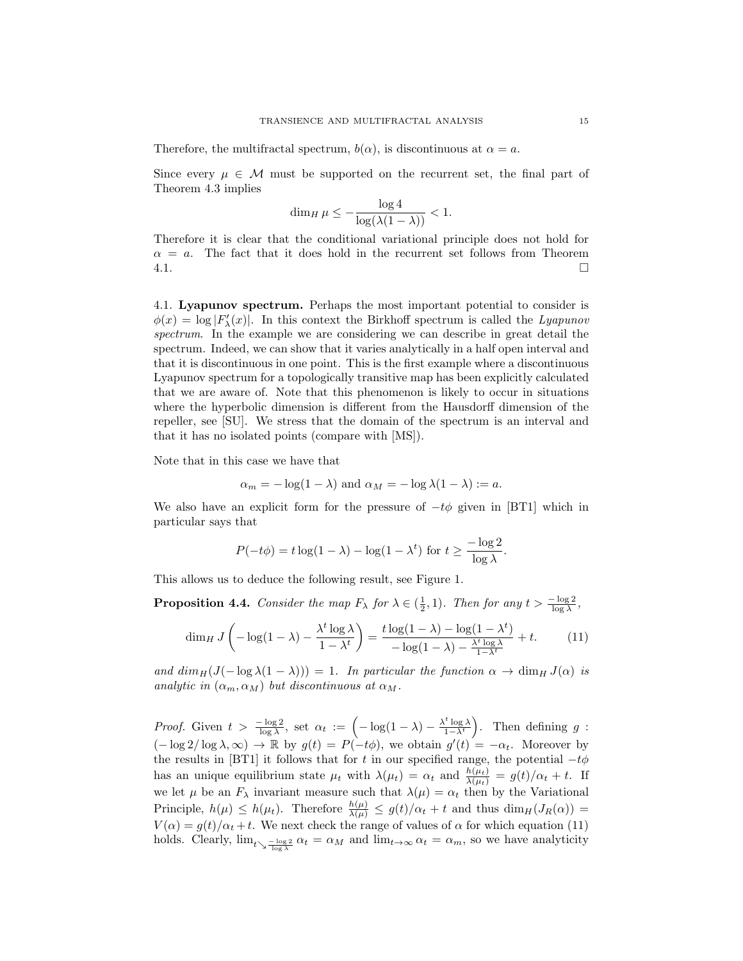Therefore, the multifractal spectrum,  $b(\alpha)$ , is discontinuous at  $\alpha = a$ .

Since every  $\mu \in \mathcal{M}$  must be supported on the recurrent set, the final part of Theorem 4.3 implies

$$
\dim_H \mu \le -\frac{\log 4}{\log(\lambda(1-\lambda))} < 1.
$$

Therefore it is clear that the conditional variational principle does not hold for  $\alpha = a$ . The fact that it does hold in the recurrent set follows from Theorem  $4.1.$ 

4.1. Lyapunov spectrum. Perhaps the most important potential to consider is  $\phi(x) = \log |F'_{\lambda}(x)|$ . In this context the Birkhoff spectrum is called the Lyapunov spectrum. In the example we are considering we can describe in great detail the spectrum. Indeed, we can show that it varies analytically in a half open interval and that it is discontinuous in one point. This is the first example where a discontinuous Lyapunov spectrum for a topologically transitive map has been explicitly calculated that we are aware of. Note that this phenomenon is likely to occur in situations where the hyperbolic dimension is different from the Hausdorff dimension of the repeller, see [SU]. We stress that the domain of the spectrum is an interval and that it has no isolated points (compare with [MS]).

Note that in this case we have that

$$
\alpha_m = -\log(1 - \lambda)
$$
 and  $\alpha_M = -\log \lambda(1 - \lambda) := a$ .

We also have an explicit form for the pressure of  $-t\phi$  given in [BT1] which in particular says that

$$
P(-t\phi) = t\log(1-\lambda) - \log(1-\lambda^t) \text{ for } t \ge \frac{-\log 2}{\log \lambda}.
$$

This allows us to deduce the following result, see Figure 1.

**Proposition 4.4.** Consider the map  $F_{\lambda}$  for  $\lambda \in (\frac{1}{2}, 1)$ . Then for any  $t > \frac{-\log 2}{\log \lambda}$ ,

$$
\dim_H J\left(-\log(1-\lambda) - \frac{\lambda^t \log \lambda}{1-\lambda^t}\right) = \frac{t \log(1-\lambda) - \log(1-\lambda^t)}{-\log(1-\lambda) - \frac{\lambda^t \log \lambda}{1-\lambda^t}} + t.
$$
 (11)

and  $\dim_H(J(-\log \lambda(1-\lambda))) = 1$ . In particular the function  $\alpha \to \dim_H J(\alpha)$  is analytic in  $(\alpha_m, \alpha_M)$  but discontinuous at  $\alpha_M$ .

*Proof.* Given  $t > \frac{-\log 2}{\log \lambda}$ , set  $\alpha_t := \left(-\log(1-\lambda) - \frac{\lambda^t \log \lambda}{1-\lambda^t}\right)$ ). Then defining  $g$  :  $(-\log 2/\log \lambda, \infty) \to \mathbb{R}$  by  $g(t) = P(-t\phi)$ , we obtain  $g'(t) = -\alpha_t$ . Moreover by the results in [BT1] it follows that for t in our specified range, the potential  $-t\phi$ has an unique equilibrium state  $\mu_t$  with  $\lambda(\mu_t) = \alpha_t$  and  $\frac{h(\mu_t)}{\lambda(\mu_t)} = g(t)/\alpha_t + t$ . If we let  $\mu$  be an  $F_{\lambda}$  invariant measure such that  $\lambda(\mu) = \alpha_t$  then by the Variational Principle,  $h(\mu) \leq h(\mu_t)$ . Therefore  $\frac{h(\mu)}{\lambda(\mu)} \leq g(t)/\alpha_t + t$  and thus  $\dim_H(J_R(\alpha)) =$  $V(\alpha) = g(t)/\alpha_t + t$ . We next check the range of values of  $\alpha$  for which equation (11) holds. Clearly,  $\lim_{t\to\frac{-\log 2}{\log \lambda}} \alpha_t = \alpha_M$  and  $\lim_{t\to\infty} \alpha_t = \alpha_m$ , so we have analyticity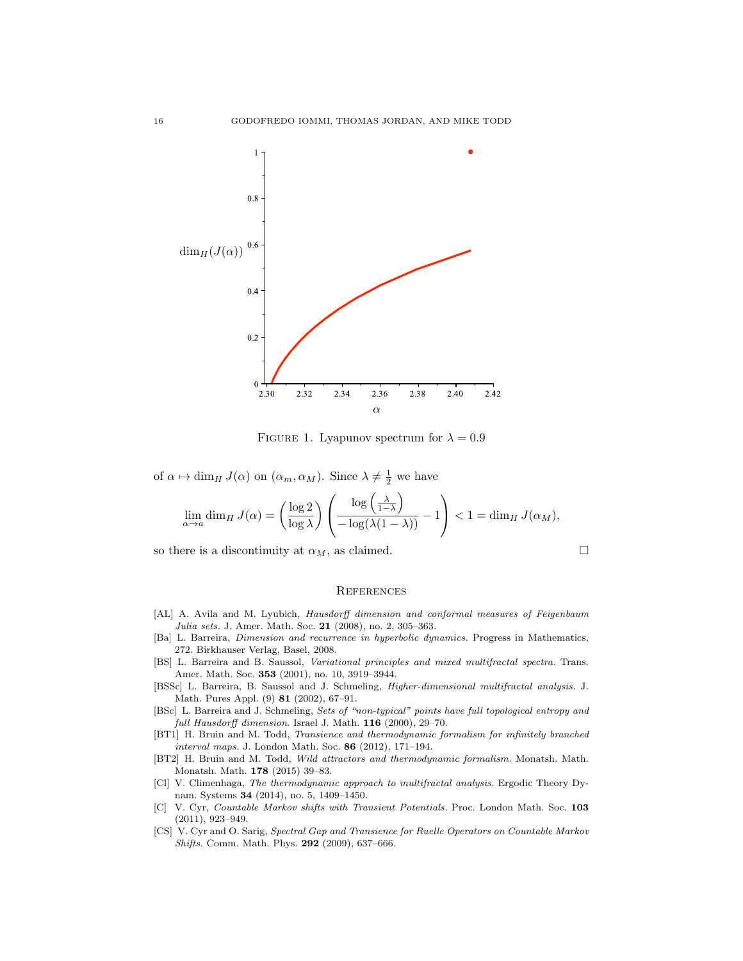

FIGURE 1. Lyapunov spectrum for  $\lambda = 0.9$ 

of  $\alpha \mapsto \dim_H J(\alpha)$  on  $(\alpha_m, \alpha_M)$ . Since  $\lambda \neq \frac{1}{2}$  we have

$$
\lim_{\alpha \to a} \dim_H J(\alpha) = \left(\frac{\log 2}{\log \lambda}\right) \left(\frac{\log \left(\frac{\lambda}{1-\lambda}\right)}{-\log(\lambda(1-\lambda))}-1\right) < 1 = \dim_H J(\alpha_M),
$$

so there is a discontinuity at  $\alpha_M$ , as claimed.  $\Box$ 

#### **REFERENCES**

- [AL] A. Avila and M. Lyubich, Hausdorff dimension and conformal measures of Feigenbaum Julia sets. J. Amer. Math. Soc. 21 (2008), no. 2, 305–363.
- [Ba] L. Barreira, Dimension and recurrence in hyperbolic dynamics. Progress in Mathematics, 272. Birkhauser Verlag, Basel, 2008.
- [BS] L. Barreira and B. Saussol, Variational principles and mixed multifractal spectra. Trans. Amer. Math. Soc. 353 (2001), no. 10, 3919–3944.
- [BSSc] L. Barreira, B. Saussol and J. Schmeling, Higher-dimensional multifractal analysis. J. Math. Pures Appl. (9) 81 (2002), 67–91.
- [BSc] L. Barreira and J. Schmeling, Sets of "non-typical" points have full topological entropy and full Hausdorff dimension. Israel J. Math.  $116$  (2000), 29-70.
- [BT1] H. Bruin and M. Todd, Transience and thermodynamic formalism for infinitely branched interval maps. J. London Math. Soc. 86 (2012), 171–194.
- [BT2] H. Bruin and M. Todd, Wild attractors and thermodynamic formalism. Monatsh. Math. Monatsh. Math. 178 (2015) 39–83.
- [Cl] V. Climenhaga, The thermodynamic approach to multifractal analysis. Ergodic Theory Dynam. Systems 34 (2014), no. 5, 1409–1450.
- [C] V. Cyr, Countable Markov shifts with Transient Potentials. Proc. London Math. Soc. 103 (2011), 923–949.
- [CS] V. Cyr and O. Sarig, Spectral Gap and Transience for Ruelle Operators on Countable Markov Shifts. Comm. Math. Phys. 292 (2009), 637–666.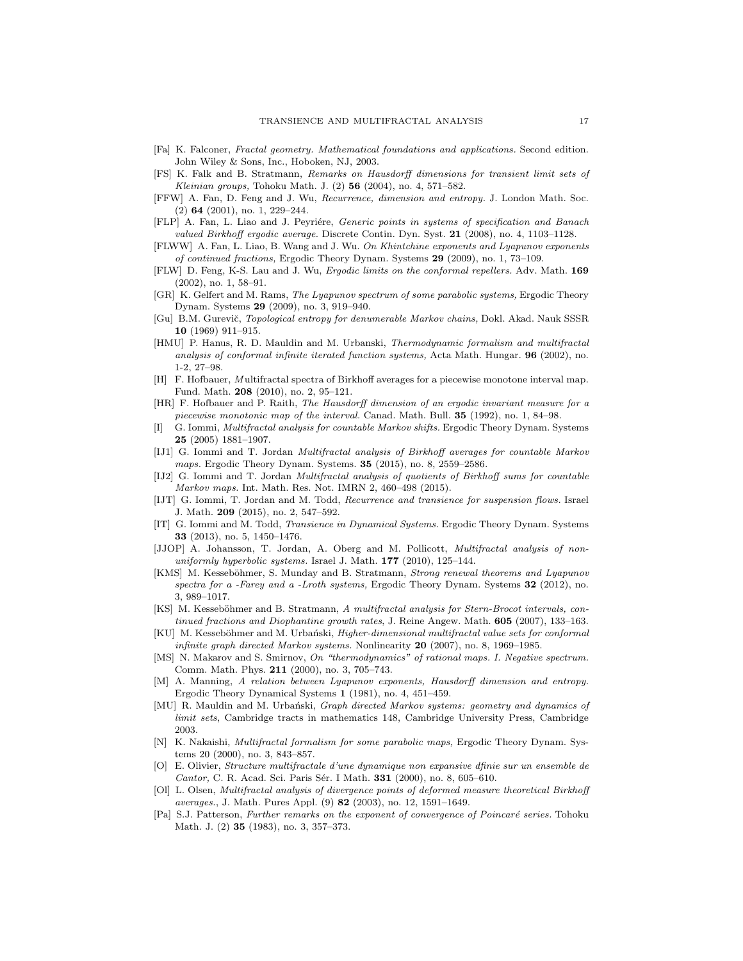- [Fa] K. Falconer, Fractal geometry. Mathematical foundations and applications. Second edition. John Wiley & Sons, Inc., Hoboken, NJ, 2003.
- [FS] K. Falk and B. Stratmann, Remarks on Hausdorff dimensions for transient limit sets of Kleinian groups, Tohoku Math. J.  $(2)$  56  $(2004)$ , no. 4, 571–582.
- [FFW] A. Fan, D. Feng and J. Wu, Recurrence, dimension and entropy. J. London Math. Soc. (2) 64 (2001), no. 1, 229–244.
- [FLP] A. Fan, L. Liao and J. Peyriére, Generic points in systems of specification and Banach valued Birkhoff ergodic average. Discrete Contin. Dyn. Syst. 21 (2008), no. 4, 1103–1128.
- [FLWW] A. Fan, L. Liao, B. Wang and J. Wu. On Khintchine exponents and Lyapunov exponents of continued fractions, Ergodic Theory Dynam. Systems 29 (2009), no. 1, 73–109.
- [FLW] D. Feng, K-S. Lau and J. Wu, Ergodic limits on the conformal repellers. Adv. Math. 169 (2002), no. 1, 58–91.
- [GR] K. Gelfert and M. Rams, The Lyapunov spectrum of some parabolic systems, Ergodic Theory Dynam. Systems 29 (2009), no. 3, 919–940.
- [Gu] B.M. Gurevič, Topological entropy for denumerable Markov chains, Dokl. Akad. Nauk SSSR 10 (1969) 911–915.
- [HMU] P. Hanus, R. D. Mauldin and M. Urbanski, Thermodynamic formalism and multifractal analysis of conformal infinite iterated function systems, Acta Math. Hungar. 96 (2002), no. 1-2, 27–98.
- [H] F. Hofbauer, Multifractal spectra of Birkhoff averages for a piecewise monotone interval map. Fund. Math. 208 (2010), no. 2, 95–121.
- [HR] F. Hofbauer and P. Raith, The Hausdorff dimension of an ergodic invariant measure for a piecewise monotonic map of the interval. Canad. Math. Bull. 35 (1992), no. 1, 84–98.
- [I] G. Iommi, Multifractal analysis for countable Markov shifts. Ergodic Theory Dynam. Systems 25 (2005) 1881–1907.
- [IJ1] G. Iommi and T. Jordan Multifractal analysis of Birkhoff averages for countable Markov maps. Ergodic Theory Dynam. Systems. 35 (2015), no. 8, 2559–2586.
- [IJ2] G. Iommi and T. Jordan Multifractal analysis of quotients of Birkhoff sums for countable Markov maps. Int. Math. Res. Not. IMRN 2, 460–498 (2015).
- [IJT] G. Iommi, T. Jordan and M. Todd, Recurrence and transience for suspension flows. Israel J. Math. 209 (2015), no. 2, 547–592.
- G. Iommi and M. Todd, *Transience in Dynamical Systems*. Ergodic Theory Dynam. Systems 33 (2013), no. 5, 1450–1476.
- [JJOP] A. Johansson, T. Jordan, A. Oberg and M. Pollicott, *Multifractal analysis of non*uniformly hyperbolic systems. Israel J. Math. 177 (2010), 125-144.
- [KMS] M. Kesseböhmer, S. Munday and B. Stratmann, Strong renewal theorems and Lyapunov spectra for a -Farey and a -Lroth systems, Ergodic Theory Dynam. Systems 32 (2012), no. 3, 989–1017.
- [KS] M. Kesseböhmer and B. Stratmann, A multifractal analysis for Stern-Brocot intervals, continued fractions and Diophantine growth rates, J. Reine Angew. Math. 605 (2007), 133-163.
- [KU] M. Kesseböhmer and M. Urbański, Higher-dimensional multifractal value sets for conformal infinite graph directed Markov systems. Nonlinearity  $20$  (2007), no. 8, 1969–1985.
- [MS] N. Makarov and S. Smirnov, On "thermodynamics" of rational maps. I. Negative spectrum. Comm. Math. Phys. 211 (2000), no. 3, 705–743.
- [M] A. Manning, A relation between Lyapunov exponents, Hausdorff dimension and entropy. Ergodic Theory Dynamical Systems 1 (1981), no. 4, 451–459.
- [MU] R. Mauldin and M. Urbański, Graph directed Markov systems: geometry and dynamics of limit sets, Cambridge tracts in mathematics 148, Cambridge University Press, Cambridge 2003.
- [N] K. Nakaishi, Multifractal formalism for some parabolic maps, Ergodic Theory Dynam. Systems 20 (2000), no. 3, 843–857.
- [O] E. Olivier, Structure multifractale d'une dynamique non expansive dfinie sur un ensemble de Cantor, C. R. Acad. Sci. Paris Sér. I Math. 331 (2000), no. 8, 605–610.
- [Ol] L. Olsen, Multifractal analysis of divergence points of deformed measure theoretical Birkhoff averages., J. Math. Pures Appl. (9) 82 (2003), no. 12, 1591–1649.
- [Pa] S.J. Patterson, Further remarks on the exponent of convergence of Poincaré series. Tohoku Math. J. (2) 35 (1983), no. 3, 357–373.